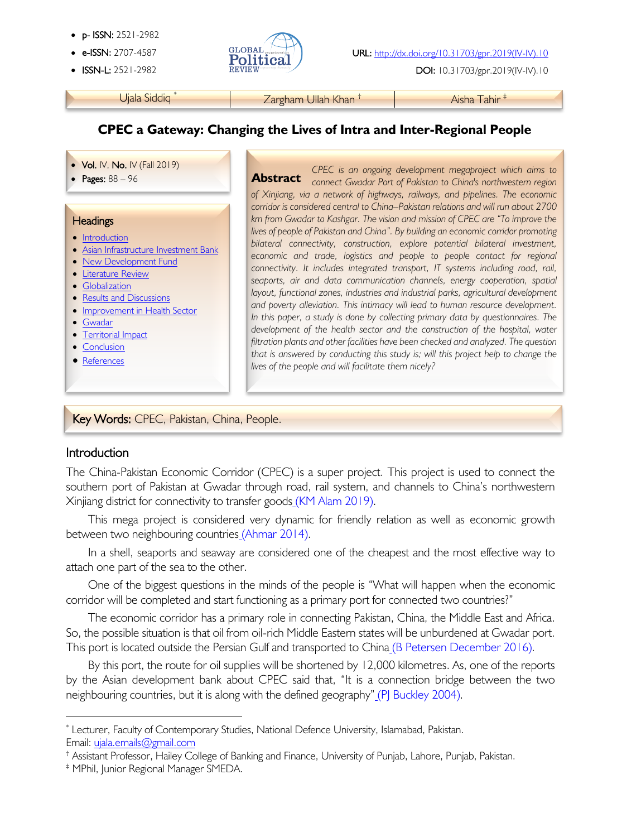- p- ISSN: 2521-2982
- 
- 



• ISSN-L: 2521-2982 DOI: 10.31703/gpr.2019(IV-IV).10

Ujala Siddiq \* The Targham Ullah Khan † The Tahir † Aisha Tahir <sup>‡</sup>

# **CPEC a Gateway: Changing the Lives of Intra and Inter-Regional People**

#### • Vol. IV, No. IV (Fall 2019)

#### **Headings**

į

- Introduction
- Asian Infrastructure Investment Bank
- New Development Fund
- Literature Review
- Globalization
- Results and Discussions
- Improvement in Health Sector
- Gwadar
- Territorial Impact
- Conclusion

I

Ï

• References

• **Pages:** 88 – 96 **CPEC is an ongoing development megaproject which aims to <b>Abstract** Connect Gwadar Port of Pakistan to China's northwestern region **Abstract** *of Xinjiang, via a network of highways, railways, and pipelines. The economic corridor is considered central to China–Pakistan relations and will run about 2700 km from Gwadar to Kashgar. The vision and mission of CPEC are "To improve the lives of people of Pakistan and China". By building an economic corridor promoting bilateral connectivity, construction, explore potential bilateral investment, economic and trade, logistics and people to people contact for regional connectivity. It includes integrated transport, IT systems including road, rail, seaports, air and data communication channels, energy cooperation, spatial layout, functional zones, industries and industrial parks, agricultural development and poverty alleviation. This intimacy will lead to human resource development. In this paper, a study is done by collecting primary data by questionnaires. The development of the health sector and the construction of the hospital, water filtration plants and other facilities have been checked and analyzed. The question that is answered by conducting this study is; will this project help to change the lives of the people and will facilitate them nicely?*

### Key Words: CPEC, Pakistan, China, People.

### Introduction

The China-Pakistan Economic Corridor (CPEC) is a super project. This project is used to connect the southern port of Pakistan at Gwadar through road, rail system, and channels to China's northwestern Xinjiang district for connectivity to transfer goods (KM Alam 2019).

This mega project is considered very dynamic for friendly relation as well as economic growth between two neighbouring countries (Ahmar 2014).

In a shell, seaports and seaway are considered one of the cheapest and the most effective way to attach one part of the sea to the other.

One of the biggest questions in the minds of the people is "What will happen when the economic corridor will be completed and start functioning as a primary port for connected two countries?"

The economic corridor has a primary role in connecting Pakistan, China, the Middle East and Africa. So, the possible situation is that oil from oil-rich Middle Eastern states will be unburdened at Gwadar port. This port is located outside the Persian Gulf and transported to China (B Petersen December 2016).

By this port, the route for oil supplies will be shortened by 12,000 kilometres. As, one of the reports by the Asian development bank about CPEC said that, "It is a connection bridge between the two neighbouring countries, but it is along with the defined geography" (PJ Buckley 2004).

† Assistant Professor, Hailey College of Banking and Finance, University of Punjab, Lahore, Punjab, Pakistan.

Email: ujala.emails@gmail.com \* Lecturer, Faculty of Contemporary Studies, National Defence University, Islamabad, Pakistan.

<sup>‡</sup> MPhil, Junior Regional Manager SMEDA.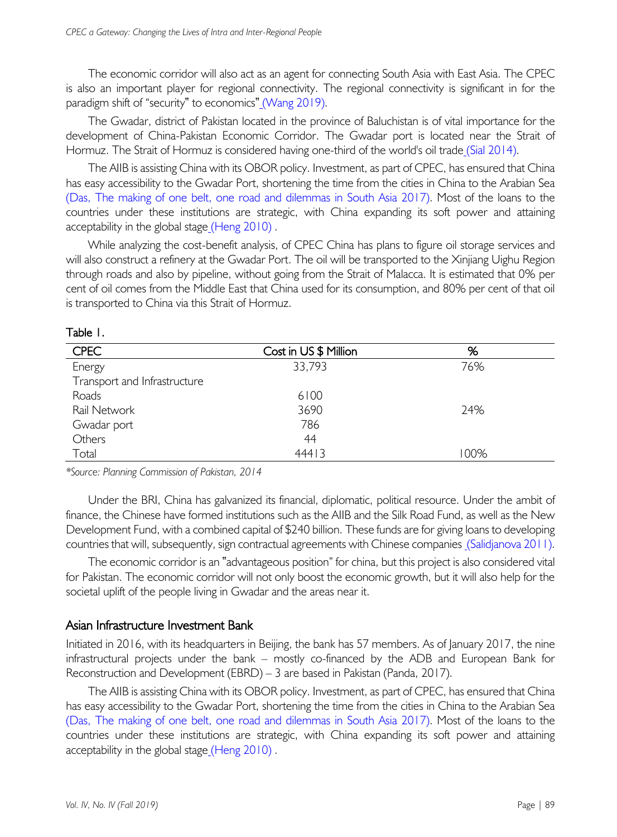The economic corridor will also act as an agent for connecting South Asia with East Asia. The CPEC is also an important player for regional connectivity. The regional connectivity is significant in for the paradigm shift of "security" to economics" (Wang 2019).

The Gwadar, district of Pakistan located in the province of Baluchistan is of vital importance for the development of China-Pakistan Economic Corridor. The Gwadar port is located near the Strait of Hormuz. The Strait of Hormuz is considered having one-third of the world's oil trade (Sial 2014).

The AIIB is assisting China with its OBOR policy. Investment, as part of CPEC, has ensured that China has easy accessibility to the Gwadar Port, shortening the time from the cities in China to the Arabian Sea (Das, The making of one belt, one road and dilemmas in South Asia 2017). Most of the loans to the countries under these institutions are strategic, with China expanding its soft power and attaining acceptability in the global stage (Heng 2010).

While analyzing the cost-benefit analysis, of CPEC China has plans to figure oil storage services and will also construct a refinery at the Gwadar Port. The oil will be transported to the Xinjiang Uighu Region through roads and also by pipeline, without going from the Strait of Malacca. It is estimated that 0% per cent of oil comes from the Middle East that China used for its consumption, and 80% per cent of that oil is transported to China via this Strait of Hormuz.

| <b>CPEC</b>                  | Cost in US \$ Million | %    |
|------------------------------|-----------------------|------|
| Energy                       | 33,793                | 76%  |
| Transport and Infrastructure |                       |      |
| Roads                        | 6100                  |      |
| Rail Network                 | 3690                  | 24%  |
| Gwadar port                  | 786                   |      |
| Others                       | 44                    |      |
| Total                        | 44413                 | 100% |

Table 1.

*\*Source: Planning Commission of Pakistan, 2014*

Under the BRI, China has galvanized its financial, diplomatic, political resource. Under the ambit of finance, the Chinese have formed institutions such as the AIIB and the Silk Road Fund, as well as the New Development Fund, with a combined capital of \$240 billion. These funds are for giving loans to developing countries that will, subsequently, sign contractual agreements with Chinese companies (Salidjanova 2011).

The economic corridor is an "advantageous position" for china, but this project is also considered vital for Pakistan. The economic corridor will not only boost the economic growth, but it will also help for the societal uplift of the people living in Gwadar and the areas near it.

### Asian Infrastructure Investment Bank

Initiated in 2016, with its headquarters in Beijing, the bank has 57 members. As of January 2017, the nine infrastructural projects under the bank – mostly co-financed by the ADB and European Bank for Reconstruction and Development (EBRD) – 3 are based in Pakistan (Panda, 2017).

The AIIB is assisting China with its OBOR policy. Investment, as part of CPEC, has ensured that China has easy accessibility to the Gwadar Port, shortening the time from the cities in China to the Arabian Sea (Das, The making of one belt, one road and dilemmas in South Asia 2017). Most of the loans to the countries under these institutions are strategic, with China expanding its soft power and attaining acceptability in the global stage (Heng 2010) .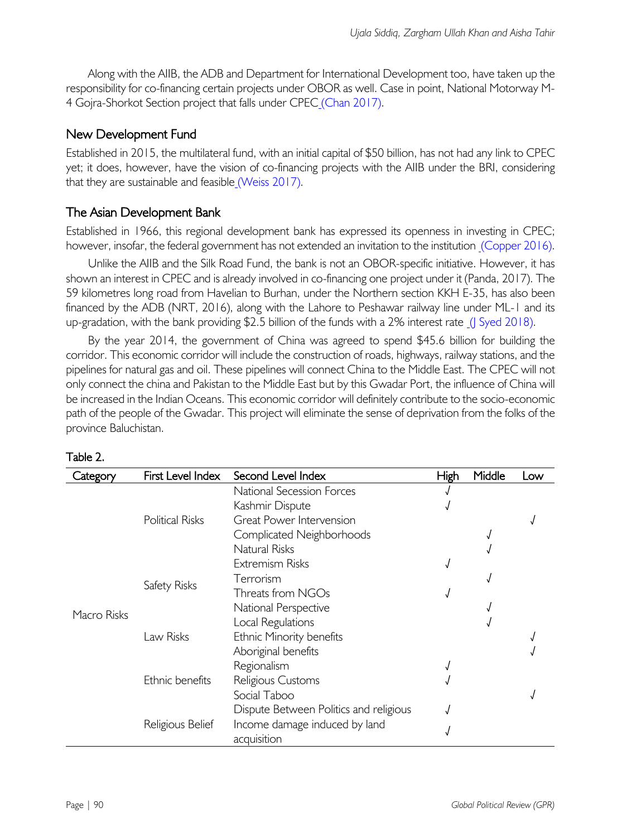Along with the AIIB, the ADB and Department for International Development too, have taken up the responsibility for co-financing certain projects under OBOR as well. Case in point, National Motorway M-4 Gojra-Shorkot Section project that falls under CPEC (Chan 2017).

# New Development Fund

Established in 2015, the multilateral fund, with an initial capital of \$50 billion, has not had any link to CPEC yet; it does, however, have the vision of co-financing projects with the AIIB under the BRI, considering that they are sustainable and feasible (Weiss 2017).

## The Asian Development Bank

Established in 1966, this regional development bank has expressed its openness in investing in CPEC; however, insofar, the federal government has not extended an invitation to the institution (Copper 2016).

Unlike the AIIB and the Silk Road Fund, the bank is not an OBOR-specific initiative. However, it has shown an interest in CPEC and is already involved in co-financing one project under it (Panda, 2017). The 59 kilometres long road from Havelian to Burhan, under the Northern section KKH E-35, has also been financed by the ADB (NRT, 2016), along with the Lahore to Peshawar railway line under ML-1 and its up-gradation, with the bank providing \$2.5 billion of the funds with a 2% interest rate (J Syed 2018).

By the year 2014, the government of China was agreed to spend \$45.6 billion for building the corridor. This economic corridor will include the construction of roads, highways, railway stations, and the pipelines for natural gas and oil. These pipelines will connect China to the Middle East. The CPEC will not only connect the china and Pakistan to the Middle East but by this Gwadar Port, the influence of China will be increased in the Indian Oceans. This economic corridor will definitely contribute to the socio-economic path of the people of the Gwadar. This project will eliminate the sense of deprivation from the folks of the province Baluchistan.

| Category    | First Level Index      | Second Level Index                     | High | Middle | Low |
|-------------|------------------------|----------------------------------------|------|--------|-----|
|             | <b>Political Risks</b> | National Secession Forces              |      |        |     |
|             |                        | Kashmir Dispute                        |      |        |     |
|             |                        | Great Power Intervension               |      |        |     |
|             |                        | Complicated Neighborhoods              |      |        |     |
|             |                        | <b>Natural Risks</b>                   |      |        |     |
|             |                        | Extremism Risks                        |      |        |     |
|             | Safety Risks           | Terrorism                              |      |        |     |
|             |                        | Threats from NGOs                      |      |        |     |
| Macro Risks |                        | National Perspective                   |      |        |     |
|             | Law Risks              | Local Regulations                      |      |        |     |
|             |                        | Ethnic Minority benefits               |      |        |     |
|             |                        | Aboriginal benefits                    |      |        |     |
|             | Ethnic benefits        | Regionalism                            |      |        |     |
|             |                        | Religious Customs                      |      |        |     |
|             |                        | Social Taboo                           |      |        |     |
|             | Religious Belief       | Dispute Between Politics and religious |      |        |     |
|             |                        | Income damage induced by land          |      |        |     |
|             |                        | acquisition                            |      |        |     |

#### Table 2.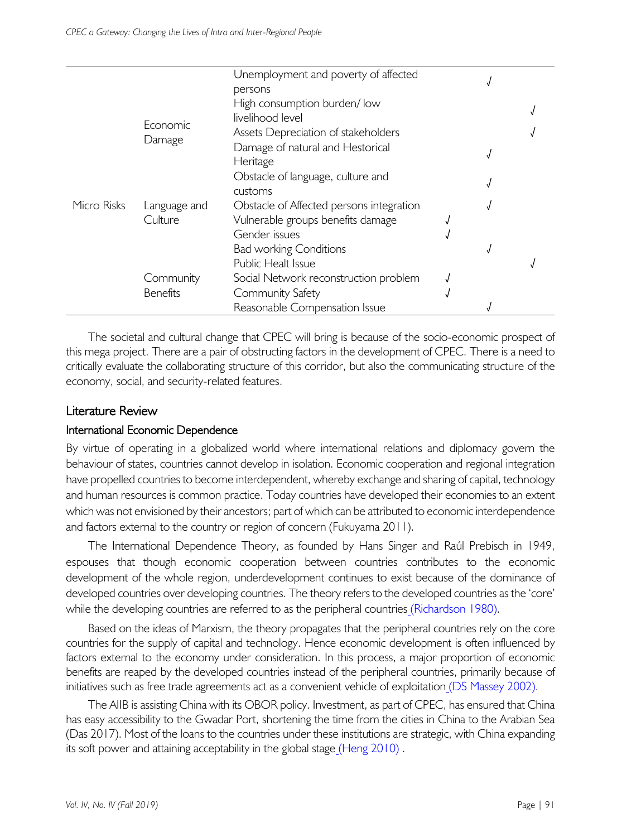|             |                 | Unemployment and poverty of affected     |  |  |
|-------------|-----------------|------------------------------------------|--|--|
|             |                 | persons                                  |  |  |
|             |                 | High consumption burden/low              |  |  |
|             |                 | livelihood level                         |  |  |
|             | Economic        | Assets Depreciation of stakeholders      |  |  |
|             | Damage          | Damage of natural and Hestorical         |  |  |
|             |                 | Heritage                                 |  |  |
|             |                 | Obstacle of language, culture and        |  |  |
|             |                 | customs                                  |  |  |
| Micro Risks | Language and    | Obstacle of Affected persons integration |  |  |
|             | Culture         | Vulnerable groups benefits damage        |  |  |
|             |                 | Gender issues                            |  |  |
|             |                 | <b>Bad working Conditions</b>            |  |  |
|             |                 | Public Healt Issue                       |  |  |
|             | Community       | Social Network reconstruction problem    |  |  |
|             | <b>Benefits</b> | Community Safety                         |  |  |
|             |                 | Reasonable Compensation Issue            |  |  |

The societal and cultural change that CPEC will bring is because of the socio-economic prospect of this mega project. There are a pair of obstructing factors in the development of CPEC. There is a need to critically evaluate the collaborating structure of this corridor, but also the communicating structure of the economy, social, and security-related features.

## Literature Review

## International Economic Dependence

By virtue of operating in a globalized world where international relations and diplomacy govern the behaviour of states, countries cannot develop in isolation. Economic cooperation and regional integration have propelled countries to become interdependent, whereby exchange and sharing of capital, technology and human resources is common practice. Today countries have developed their economies to an extent which was not envisioned by their ancestors; part of which can be attributed to economic interdependence and factors external to the country or region of concern (Fukuyama 2011).

The International Dependence Theory, as founded by Hans Singer and Raúl Prebisch in 1949, espouses that though economic cooperation between countries contributes to the economic development of the whole region, underdevelopment continues to exist because of the dominance of developed countries over developing countries. The theory refers to the developed countries as the 'core' while the developing countries are referred to as the peripheral countries (Richardson 1980).

Based on the ideas of Marxism, the theory propagates that the peripheral countries rely on the core countries for the supply of capital and technology. Hence economic development is often influenced by factors external to the economy under consideration. In this process, a major proportion of economic benefits are reaped by the developed countries instead of the peripheral countries, primarily because of initiatives such as free trade agreements act as a convenient vehicle of exploitation (DS Massey 2002).

The AIIB is assisting China with its OBOR policy. Investment, as part of CPEC, has ensured that China has easy accessibility to the Gwadar Port, shortening the time from the cities in China to the Arabian Sea (Das 2017). Most of the loans to the countries under these institutions are strategic, with China expanding its soft power and attaining acceptability in the global stage (Heng 2010) .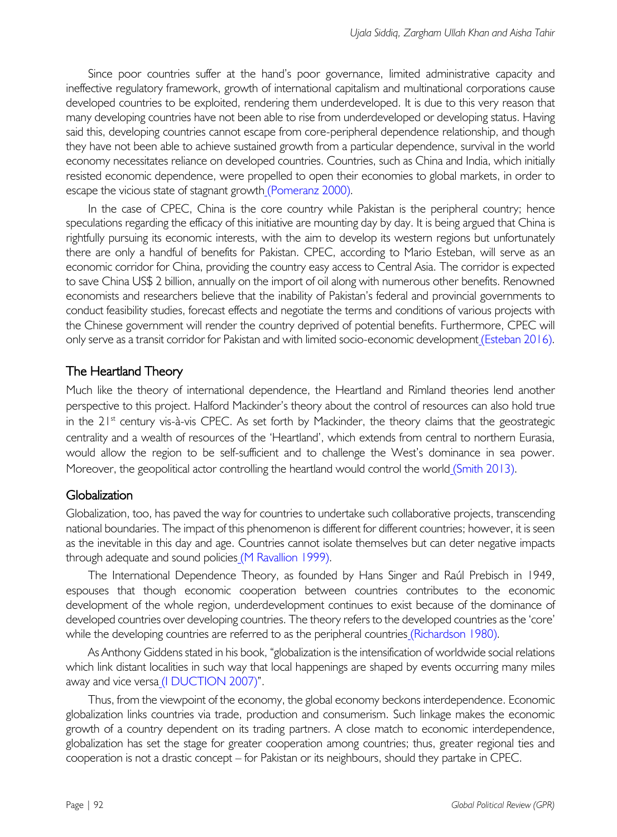Since poor countries suffer at the hand's poor governance, limited administrative capacity and ineffective regulatory framework, growth of international capitalism and multinational corporations cause developed countries to be exploited, rendering them underdeveloped. It is due to this very reason that many developing countries have not been able to rise from underdeveloped or developing status. Having said this, developing countries cannot escape from core-peripheral dependence relationship, and though they have not been able to achieve sustained growth from a particular dependence, survival in the world economy necessitates reliance on developed countries. Countries, such as China and India, which initially resisted economic dependence, were propelled to open their economies to global markets, in order to escape the vicious state of stagnant growth (Pomeranz 2000).

In the case of CPEC, China is the core country while Pakistan is the peripheral country; hence speculations regarding the efficacy of this initiative are mounting day by day. It is being argued that China is rightfully pursuing its economic interests, with the aim to develop its western regions but unfortunately there are only a handful of benefits for Pakistan. CPEC, according to Mario Esteban, will serve as an economic corridor for China, providing the country easy access to Central Asia. The corridor is expected to save China US\$ 2 billion, annually on the import of oil along with numerous other benefits. Renowned economists and researchers believe that the inability of Pakistan's federal and provincial governments to conduct feasibility studies, forecast effects and negotiate the terms and conditions of various projects with the Chinese government will render the country deprived of potential benefits. Furthermore, CPEC will only serve as a transit corridor for Pakistan and with limited socio-economic development (Esteban 2016).

## The Heartland Theory

Much like the theory of international dependence, the Heartland and Rimland theories lend another perspective to this project. Halford Mackinder's theory about the control of resources can also hold true in the  $21^{st}$  century vis-à-vis CPEC. As set forth by Mackinder, the theory claims that the geostrategic centrality and a wealth of resources of the 'Heartland', which extends from central to northern Eurasia, would allow the region to be self-sufficient and to challenge the West's dominance in sea power. Moreover, the geopolitical actor controlling the heartland would control the world (Smith 2013).

## **Globalization**

Globalization, too, has paved the way for countries to undertake such collaborative projects, transcending national boundaries. The impact of this phenomenon is different for different countries; however, it is seen as the inevitable in this day and age. Countries cannot isolate themselves but can deter negative impacts through adequate and sound policies (M Ravallion 1999).

The International Dependence Theory, as founded by Hans Singer and Raúl Prebisch in 1949, espouses that though economic cooperation between countries contributes to the economic development of the whole region, underdevelopment continues to exist because of the dominance of developed countries over developing countries. The theory refers to the developed countries as the 'core' while the developing countries are referred to as the peripheral countries (Richardson 1980).

As Anthony Giddens stated in his book, "globalization is the intensification of worldwide social relations which link distant localities in such way that local happenings are shaped by events occurring many miles away and vice versa (I DUCTION 2007)".

Thus, from the viewpoint of the economy, the global economy beckons interdependence. Economic globalization links countries via trade, production and consumerism. Such linkage makes the economic growth of a country dependent on its trading partners. A close match to economic interdependence, globalization has set the stage for greater cooperation among countries; thus, greater regional ties and cooperation is not a drastic concept – for Pakistan or its neighbours, should they partake in CPEC.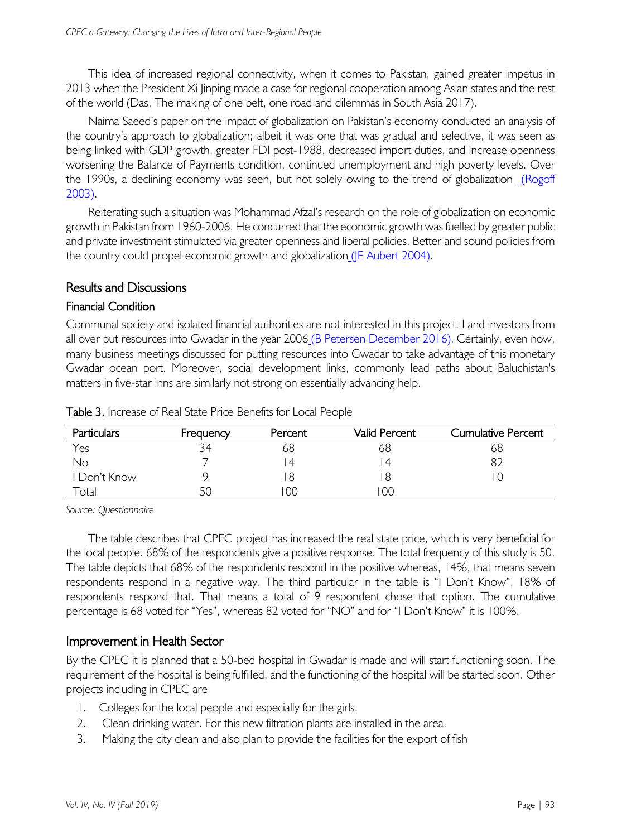This idea of increased regional connectivity, when it comes to Pakistan, gained greater impetus in 2013 when the President Xi Jinping made a case for regional cooperation among Asian states and the rest of the world (Das, The making of one belt, one road and dilemmas in South Asia 2017).

Naima Saeed's paper on the impact of globalization on Pakistan's economy conducted an analysis of the country's approach to globalization; albeit it was one that was gradual and selective, it was seen as being linked with GDP growth, greater FDI post-1988, decreased import duties, and increase openness worsening the Balance of Payments condition, continued unemployment and high poverty levels. Over the 1990s, a declining economy was seen, but not solely owing to the trend of globalization (Rogoff 2003).

Reiterating such a situation was Mohammad Afzal's research on the role of globalization on economic growth in Pakistan from 1960-2006. He concurred that the economic growth was fuelled by greater public and private investment stimulated via greater openness and liberal policies. Better and sound policies from the country could propel economic growth and globalization (JE Aubert 2004).

## Results and Discussions

### Financial Condition

Communal society and isolated financial authorities are not interested in this project. Land investors from all over put resources into Gwadar in the year 2006 (B Petersen December 2016). Certainly, even now, many business meetings discussed for putting resources into Gwadar to take advantage of this monetary Gwadar ocean port. Moreover, social development links, commonly lead paths about Baluchistan's matters in five-star inns are similarly not strong on essentially advancing help.

| Particulars  | Frequency | Percent | Valid Percent | Cumulative Percent |
|--------------|-----------|---------|---------------|--------------------|
| Yes          | 34        | 68      | 68            | 68                 |
| No           |           | 4       |               |                    |
| I Don't Know |           |         |               |                    |
| Total        |           | 00      | 00            |                    |

Table 3. Increase of Real State Price Benefits for Local People

*Source: Questionnaire*

The table describes that CPEC project has increased the real state price, which is very beneficial for the local people. 68% of the respondents give a positive response. The total frequency of this study is 50. The table depicts that 68% of the respondents respond in the positive whereas, 14%, that means seven respondents respond in a negative way. The third particular in the table is "I Don't Know", 18% of respondents respond that. That means a total of 9 respondent chose that option. The cumulative percentage is 68 voted for "Yes", whereas 82 voted for "NO" and for "I Don't Know" it is 100%.

## Improvement in Health Sector

By the CPEC it is planned that a 50-bed hospital in Gwadar is made and will start functioning soon. The requirement of the hospital is being fulfilled, and the functioning of the hospital will be started soon. Other projects including in CPEC are

- 1. Colleges for the local people and especially for the girls.
- 2. Clean drinking water. For this new filtration plants are installed in the area.
- 3. Making the city clean and also plan to provide the facilities for the export of fish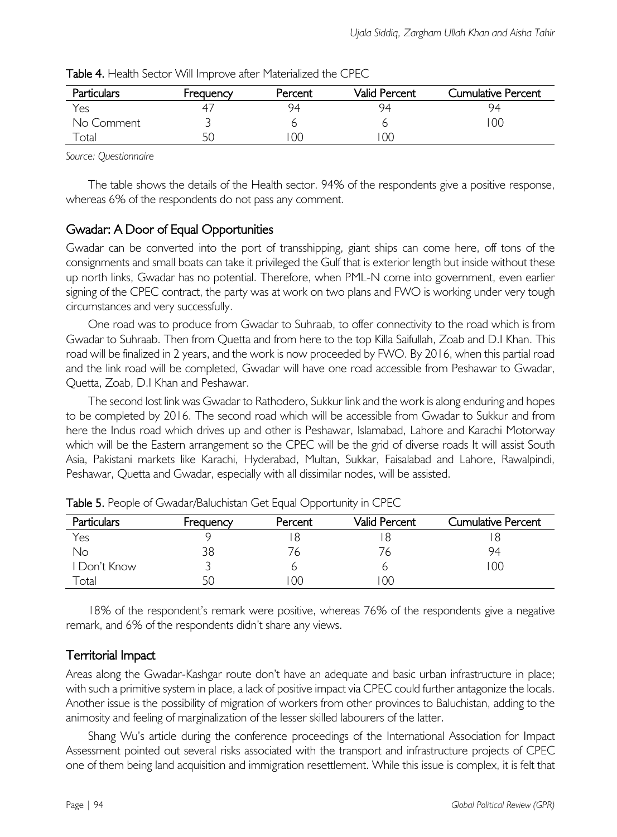| Particulars | Frequency | Percent | Valid Percent | Cumulative Percent |
|-------------|-----------|---------|---------------|--------------------|
| Yes         |           | 94      | 94            | 94                 |
| No Comment  |           |         |               | 0C                 |
| Total       |           | OC.     | OC            |                    |

Table 4. Health Sector Will Improve after Materialized the CPEC

*Source: Questionnaire*

The table shows the details of the Health sector. 94% of the respondents give a positive response, whereas 6% of the respondents do not pass any comment.

# Gwadar: A Door of Equal Opportunities

Gwadar can be converted into the port of transshipping, giant ships can come here, off tons of the consignments and small boats can take it privileged the Gulf that is exterior length but inside without these up north links, Gwadar has no potential. Therefore, when PML-N come into government, even earlier signing of the CPEC contract, the party was at work on two plans and FWO is working under very tough circumstances and very successfully.

One road was to produce from Gwadar to Suhraab, to offer connectivity to the road which is from Gwadar to Suhraab. Then from Quetta and from here to the top Killa Saifullah, Zoab and D.I Khan. This road will be finalized in 2 years, and the work is now proceeded by FWO. By 2016, when this partial road and the link road will be completed, Gwadar will have one road accessible from Peshawar to Gwadar, Quetta, Zoab, D.I Khan and Peshawar.

The second lost link was Gwadar to Rathodero, Sukkur link and the work is along enduring and hopes to be completed by 2016. The second road which will be accessible from Gwadar to Sukkur and from here the Indus road which drives up and other is Peshawar, Islamabad, Lahore and Karachi Motorway which will be the Eastern arrangement so the CPEC will be the grid of diverse roads It will assist South Asia, Pakistani markets like Karachi, Hyderabad, Multan, Sukkar, Faisalabad and Lahore, Rawalpindi, Peshawar, Quetta and Gwadar, especially with all dissimilar nodes, will be assisted.

| <b>Particulars</b>    | Frequency | Percent | Valid Percent | Cumulative Percent |
|-----------------------|-----------|---------|---------------|--------------------|
| Yes                   |           |         |               |                    |
| No                    | 38        |         |               | 94                 |
| I Don't Know          |           |         |               | 00                 |
| $^\mathsf{\tau}$ otal |           |         | 00            |                    |

Table 5. People of Gwadar/Baluchistan Get Equal Opportunity in CPEC

18% of the respondent's remark were positive, whereas 76% of the respondents give a negative remark, and 6% of the respondents didn't share any views.

# Territorial Impact

Areas along the Gwadar-Kashgar route don't have an adequate and basic urban infrastructure in place; with such a primitive system in place, a lack of positive impact via CPEC could further antagonize the locals. Another issue is the possibility of migration of workers from other provinces to Baluchistan, adding to the animosity and feeling of marginalization of the lesser skilled labourers of the latter.

Shang Wu's article during the conference proceedings of the International Association for Impact Assessment pointed out several risks associated with the transport and infrastructure projects of CPEC one of them being land acquisition and immigration resettlement. While this issue is complex, it is felt that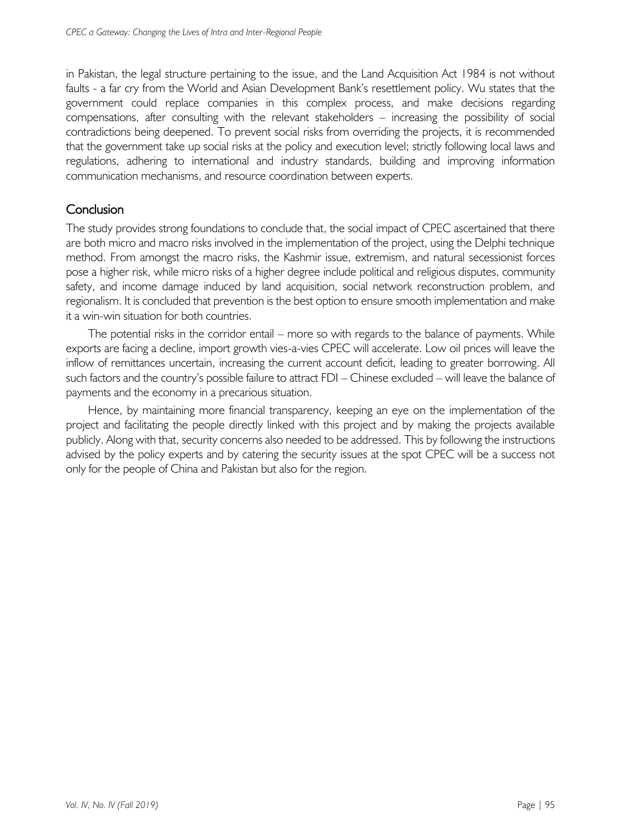in Pakistan, the legal structure pertaining to the issue, and the Land Acquisition Act 1984 is not without faults - a far cry from the World and Asian Development Bank's resettlement policy. Wu states that the government could replace companies in this complex process, and make decisions regarding compensations, after consulting with the relevant stakeholders – increasing the possibility of social contradictions being deepened. To prevent social risks from overriding the projects, it is recommended that the government take up social risks at the policy and execution level; strictly following local laws and regulations, adhering to international and industry standards, building and improving information communication mechanisms, and resource coordination between experts.

# **Conclusion**

The study provides strong foundations to conclude that, the social impact of CPEC ascertained that there are both micro and macro risks involved in the implementation of the project, using the Delphi technique method. From amongst the macro risks, the Kashmir issue, extremism, and natural secessionist forces pose a higher risk, while micro risks of a higher degree include political and religious disputes, community safety, and income damage induced by land acquisition, social network reconstruction problem, and regionalism. It is concluded that prevention is the best option to ensure smooth implementation and make it a win-win situation for both countries.

The potential risks in the corridor entail – more so with regards to the balance of payments. While exports are facing a decline, import growth vies-a-vies CPEC will accelerate. Low oil prices will leave the inflow of remittances uncertain, increasing the current account deficit, leading to greater borrowing. All such factors and the country's possible failure to attract FDI – Chinese excluded – will leave the balance of payments and the economy in a precarious situation.

Hence, by maintaining more financial transparency, keeping an eye on the implementation of the project and facilitating the people directly linked with this project and by making the projects available publicly. Along with that, security concerns also needed to be addressed. This by following the instructions advised by the policy experts and by catering the security issues at the spot CPEC will be a success not only for the people of China and Pakistan but also for the region.